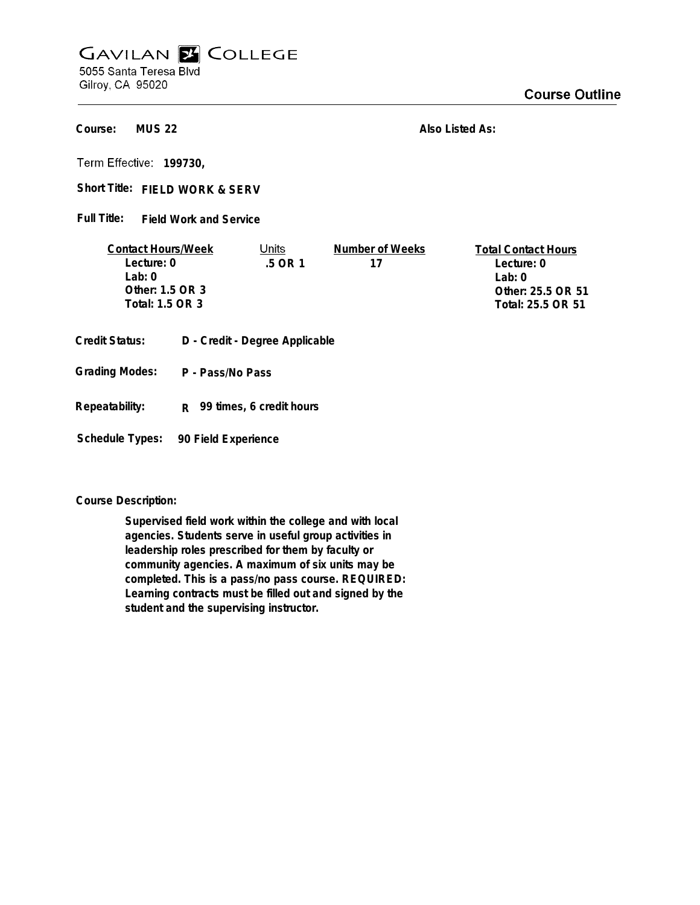## **GAVILAN E COLLEGE** 5055 Santa Teresa Blvd

Gilroy, CA 95020

**MUS 22 Course:**

**Also Listed As:**

**199730,**

Short Title: FIELD WORK & SERV

**Field Work and Service Full Title:**

| <b>Contact Hours/Week</b> | Jnits   | Number of Weeks | <b>Total Contact Hours</b> |
|---------------------------|---------|-----------------|----------------------------|
| Lecture: 0                | .5 OR 1 | 17              | Lecture: 0                 |
| $1$ ab: $0$               |         |                 | Lab: 0                     |
| Other: $1.5$ OR $3$       |         |                 | Other: 25.5 OR 51          |
| Total: 1.5 OR 3           |         |                 | Total: 25.5 OR 51          |
|                           |         |                 |                            |

- **Credit Status: D Credit Degree Applicable**
- **P Pass/No Pass Grading Modes:**
- **Repeatability: R 99 times, 6 credit hours**

**Schedule Types: 90 Field Experience**

**Course Description:**

**Supervised field work within the college and with local agencies. Students serve in useful group activities in leadership roles prescribed for them by faculty or community agencies. A maximum of six units may be completed. This is a pass/no pass course. REQUIRED: Learning contracts must be filled out and signed by the student and the supervising instructor.**